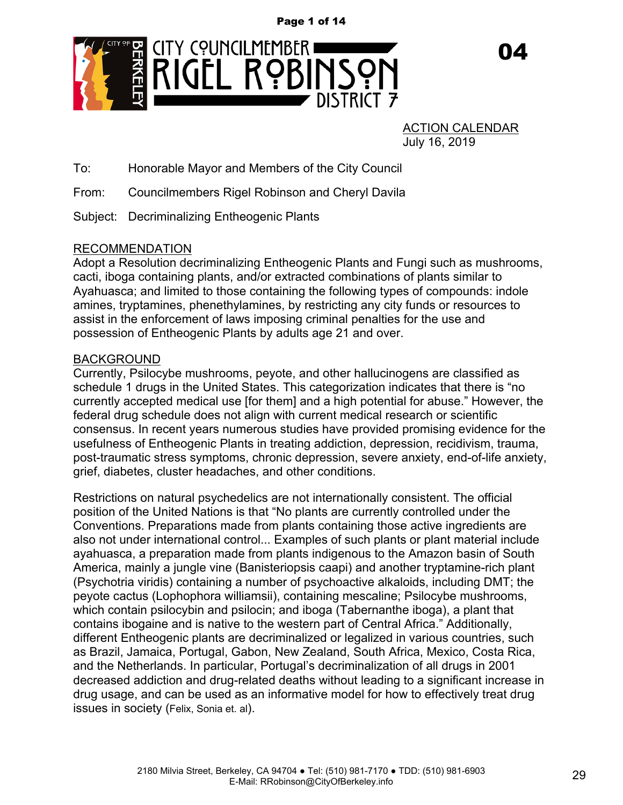Page 1 of 14



ACTION CALENDAR July 16, 2019

n4

To: Honorable Mayor and Members of the City Council

From: Councilmembers Rigel Robinson and Cheryl Davila

Subject: Decriminalizing Entheogenic Plants

# RECOMMENDATION

Adopt a Resolution decriminalizing Entheogenic Plants and Fungi such as mushrooms, cacti, iboga containing plants, and/or extracted combinations of plants similar to Ayahuasca; and limited to those containing the following types of compounds: indole amines, tryptamines, phenethylamines, by restricting any city funds or resources to assist in the enforcement of laws imposing criminal penalties for the use and possession of Entheogenic Plants by adults age 21 and over.

# BACKGROUND

Currently, Psilocybe mushrooms, peyote, and other hallucinogens are classified as schedule 1 drugs in the United States. This categorization indicates that there is "no currently accepted medical use [for them] and a high potential for abuse." However, the federal drug schedule does not align with current medical research or scientific consensus. In recent years numerous studies have provided promising evidence for the usefulness of Entheogenic Plants in treating addiction, depression, recidivism, trauma, post-traumatic stress symptoms, chronic depression, severe anxiety, end-of-life anxiety, grief, diabetes, cluster headaches, and other conditions.

Restrictions on natural psychedelics are not internationally consistent. The official position of the United Nations is that "No plants are currently controlled under the Conventions. Preparations made from plants containing those active ingredients are also not under international control... Examples of such plants or plant material include ayahuasca, a preparation made from plants indigenous to the Amazon basin of South America, mainly a jungle vine (Banisteriopsis caapi) and another tryptamine-rich plant (Psychotria viridis) containing a number of psychoactive alkaloids, including DMT; the peyote cactus (Lophophora williamsii), containing mescaline; Psilocybe mushrooms, which contain psilocybin and psilocin; and iboga (Tabernanthe iboga), a plant that contains ibogaine and is native to the western part of Central Africa." Additionally, different Entheogenic plants are decriminalized or legalized in various countries, such as Brazil, Jamaica, Portugal, Gabon, New Zealand, South Africa, Mexico, Costa Rica, and the Netherlands. In particular, Portugal's decriminalization of all drugs in 2001 decreased addiction and drug-related deaths without leading to a significant increase in drug usage, and can be used as an informative model for how to effectively treat drug issues in society (Felix, Sonia et. al).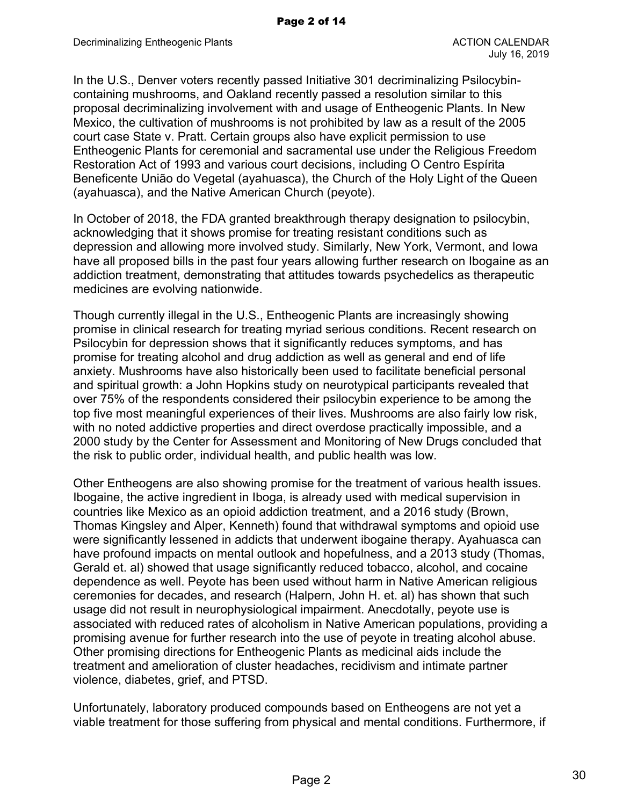In the U.S., Denver voters recently passed Initiative 301 decriminalizing Psilocybincontaining mushrooms, and Oakland recently passed a resolution similar to this proposal decriminalizing involvement with and usage of Entheogenic Plants. In New Mexico, the cultivation of mushrooms is not prohibited by law as a result of the 2005 court case State v. Pratt. Certain groups also have explicit permission to use Entheogenic Plants for ceremonial and sacramental use under the Religious Freedom Restoration Act of 1993 and various court decisions, including O Centro Espírita Beneficente União do Vegetal (ayahuasca), the Church of the Holy Light of the Queen (ayahuasca), and the Native American Church (peyote).

In October of 2018, the FDA granted breakthrough therapy designation to psilocybin, acknowledging that it shows promise for treating resistant conditions such as depression and allowing more involved study. Similarly, New York, Vermont, and Iowa have all proposed bills in the past four years allowing further research on Ibogaine as an addiction treatment, demonstrating that attitudes towards psychedelics as therapeutic medicines are evolving nationwide.

Though currently illegal in the U.S., Entheogenic Plants are increasingly showing promise in clinical research for treating myriad serious conditions. Recent research on Psilocybin for depression shows that it significantly reduces symptoms, and has promise for treating alcohol and drug addiction as well as general and end of life anxiety. Mushrooms have also historically been used to facilitate beneficial personal and spiritual growth: a John Hopkins study on neurotypical participants revealed that over 75% of the respondents considered their psilocybin experience to be among the top five most meaningful experiences of their lives. Mushrooms are also fairly low risk, with no noted addictive properties and direct overdose practically impossible, and a 2000 study by the Center for Assessment and Monitoring of New Drugs concluded that the risk to public order, individual health, and public health was low.

Other Entheogens are also showing promise for the treatment of various health issues. Ibogaine, the active ingredient in Iboga, is already used with medical supervision in countries like Mexico as an opioid addiction treatment, and a 2016 study (Brown, Thomas Kingsley and Alper, Kenneth) found that withdrawal symptoms and opioid use were significantly lessened in addicts that underwent ibogaine therapy. Ayahuasca can have profound impacts on mental outlook and hopefulness, and a 2013 study (Thomas, Gerald et. al) showed that usage significantly reduced tobacco, alcohol, and cocaine dependence as well. Peyote has been used without harm in Native American religious ceremonies for decades, and research (Halpern, John H. et. al) has shown that such usage did not result in neurophysiological impairment. Anecdotally, peyote use is associated with reduced rates of alcoholism in Native American populations, providing a promising avenue for further research into the use of peyote in treating alcohol abuse. Other promising directions for Entheogenic Plants as medicinal aids include the treatment and amelioration of cluster headaches, recidivism and intimate partner violence, diabetes, grief, and PTSD.

Unfortunately, laboratory produced compounds based on Entheogens are not yet a viable treatment for those suffering from physical and mental conditions. Furthermore, if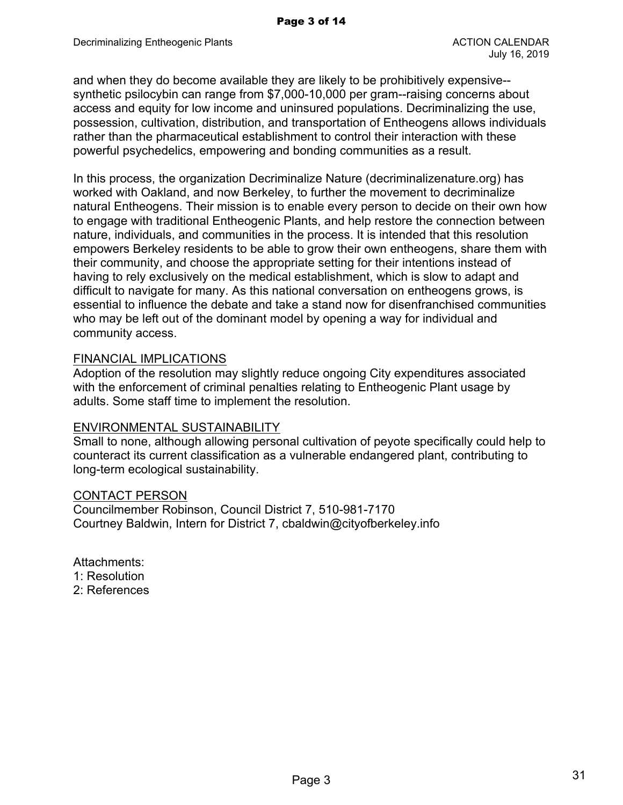and when they do become available they are likely to be prohibitively expensive- synthetic psilocybin can range from \$7,000-10,000 per gram--raising concerns about access and equity for low income and uninsured populations. Decriminalizing the use, possession, cultivation, distribution, and transportation of Entheogens allows individuals rather than the pharmaceutical establishment to control their interaction with these powerful psychedelics, empowering and bonding communities as a result.

In this process, the organization Decriminalize Nature (decriminalizenature.org) has worked with Oakland, and now Berkeley, to further the movement to decriminalize natural Entheogens. Their mission is to enable every person to decide on their own how to engage with traditional Entheogenic Plants, and help restore the connection between nature, individuals, and communities in the process. It is intended that this resolution empowers Berkeley residents to be able to grow their own entheogens, share them with their community, and choose the appropriate setting for their intentions instead of having to rely exclusively on the medical establishment, which is slow to adapt and difficult to navigate for many. As this national conversation on entheogens grows, is essential to influence the debate and take a stand now for disenfranchised communities who may be left out of the dominant model by opening a way for individual and community access.

## FINANCIAL IMPLICATIONS

Adoption of the resolution may slightly reduce ongoing City expenditures associated with the enforcement of criminal penalties relating to Entheogenic Plant usage by adults. Some staff time to implement the resolution.

# ENVIRONMENTAL SUSTAINABILITY

Small to none, although allowing personal cultivation of peyote specifically could help to counteract its current classification as a vulnerable endangered plant, contributing to long-term ecological sustainability.

## CONTACT PERSON

Councilmember Robinson, Council District 7, 510-981-7170 Courtney Baldwin, Intern for District 7, cbaldwin@cityofberkeley.info

## Attachments:

- 1: Resolution
- 2: References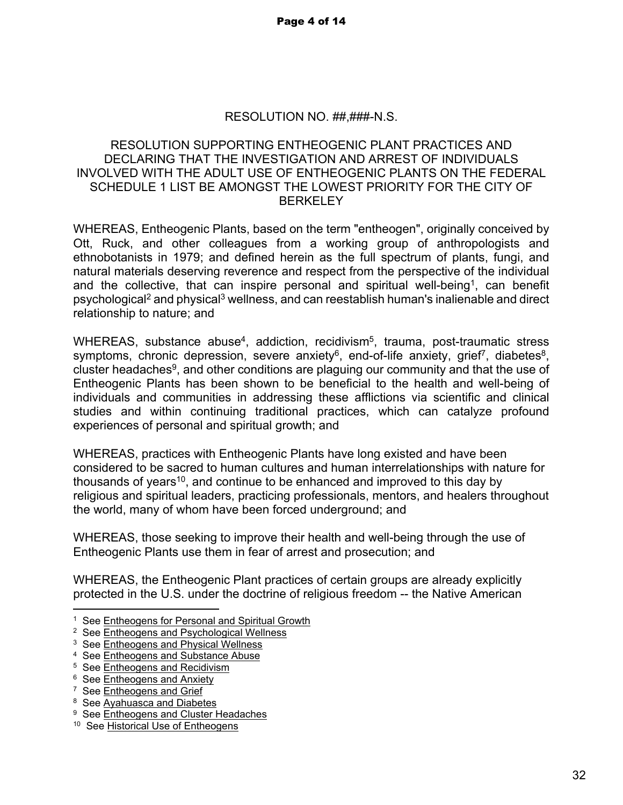# RESOLUTION NO. ##,###-N.S.

# RESOLUTION SUPPORTING ENTHEOGENIC PLANT PRACTICES AND DECLARING THAT THE INVESTIGATION AND ARREST OF INDIVIDUALS INVOLVED WITH THE ADULT USE OF ENTHEOGENIC PLANTS ON THE FEDERAL SCHEDULE 1 LIST BE AMONGST THE LOWEST PRIORITY FOR THE CITY OF **BERKELEY**

WHEREAS, Entheogenic Plants, based on the term "entheogen", originally conceived by Ott, Ruck, and other colleagues from a working group of anthropologists and ethnobotanists in 1979; and defined herein as the full spectrum of plants, fungi, and natural materials deserving reverence and respect from the perspective of the individual and the collective, that can inspire personal and spiritual well-being<sup>1</sup>, can benefit psychological<sup>2</sup> and physical<sup>3</sup> wellness, and can reestablish human's inalienable and direct relationship to nature; and

WHEREAS, substance abuse<sup>4</sup>, addiction, recidivism<sup>5</sup>, trauma, post-traumatic stress symptoms, chronic depression, severe anxiety<sup>6</sup>, end-of-life anxiety, grief<sup>7</sup>, diabetes<sup>8</sup>, cluster headaches<sup>9</sup>, and other conditions are plaguing our community and that the use of Entheogenic Plants has been shown to be beneficial to the health and well-being of individuals and communities in addressing these afflictions via scientific and clinical studies and within continuing traditional practices, which can catalyze profound experiences of personal and spiritual growth; and

WHEREAS, practices with Entheogenic Plants have long existed and have been considered to be sacred to human cultures and human interrelationships with nature for thousands of years<sup>10</sup>, and continue to be enhanced and improved to this day by religious and spiritual leaders, practicing professionals, mentors, and healers throughout the world, many of whom have been forced underground; and

WHEREAS, those seeking to improve their health and well-being through the use of Entheogenic Plants use them in fear of arrest and prosecution; and

WHEREAS, the Entheogenic Plant practices of certain groups are already explicitly protected in the U.S. under the doctrine of religious freedom -- the Native American

<sup>&</sup>lt;sup>1</sup> See Entheogens for Personal and Spiritual Growth

<sup>&</sup>lt;sup>2</sup> See Entheogens and Psychological Wellness

<sup>&</sup>lt;sup>3</sup> See Entheogens and Physical Wellness

<sup>&</sup>lt;sup>4</sup> See Entheogens and Substance Abuse

<sup>&</sup>lt;sup>5</sup> See Entheogens and Recidivism

<sup>&</sup>lt;sup>6</sup> See Entheogens and Anxiety

<sup>&</sup>lt;sup>7</sup> See Entheogens and Grief

<sup>&</sup>lt;sup>8</sup> See Ayahuasca and Diabetes

<sup>&</sup>lt;sup>9</sup> See Entheogens and Cluster Headaches

<sup>&</sup>lt;sup>10</sup> See Historical Use of Entheogens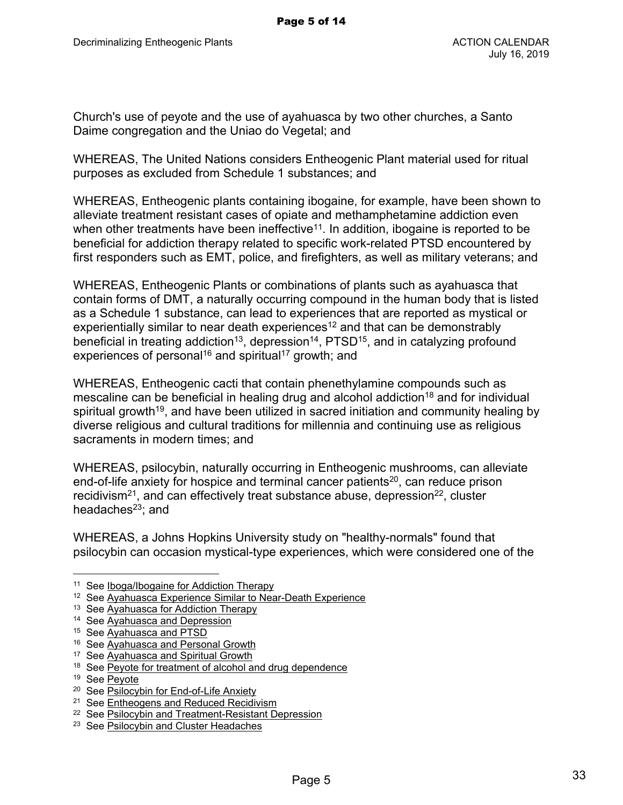Church's use of peyote and the use of ayahuasca by two other churches, a Santo Daime congregation and the Uniao do Vegetal; and

WHEREAS, The United Nations considers Entheogenic Plant material used for ritual purposes as excluded from Schedule 1 substances; and

WHEREAS, Entheogenic plants containing ibogaine, for example, have been shown to alleviate treatment resistant cases of opiate and methamphetamine addiction even when other treatments have been ineffective<sup>11</sup>. In addition, ibogaine is reported to be beneficial for addiction therapy related to specific work-related PTSD encountered by first responders such as EMT, police, and firefighters, as well as military veterans; and

WHEREAS, Entheogenic Plants or combinations of plants such as ayahuasca that contain forms of DMT, a naturally occurring compound in the human body that is listed as a Schedule 1 substance, can lead to experiences that are reported as mystical or experientially similar to near death experiences<sup>12</sup> and that can be demonstrably beneficial in treating addiction<sup>13</sup>, depression<sup>14</sup>,  $PTSD<sup>15</sup>$ , and in catalyzing profound experiences of personal<sup>16</sup> and spiritual<sup>17</sup> growth; and

WHEREAS, Entheogenic cacti that contain phenethylamine compounds such as mescaline can be beneficial in healing drug and alcohol addiction<sup>18</sup> and for individual spiritual growth<sup>19</sup>, and have been utilized in sacred initiation and community healing by diverse religious and cultural traditions for millennia and continuing use as religious sacraments in modern times; and

WHEREAS, psilocybin, naturally occurring in Entheogenic mushrooms, can alleviate end-of-life anxiety for hospice and terminal cancer patients<sup>20</sup>, can reduce prison recidivism<sup>21</sup>, and can effectively treat substance abuse, depression<sup>22</sup>, cluster headaches<sup>23</sup>; and

WHEREAS, a Johns Hopkins University study on "healthy-normals" found that psilocybin can occasion mystical-type experiences, which were considered one of the

<sup>&</sup>lt;sup>11</sup> See Iboga/Ibogaine for Addiction Therapy

<sup>&</sup>lt;sup>12</sup> See Ayahuasca Experience Similar to Near-Death Experience

<sup>&</sup>lt;sup>13</sup> See Ayahuasca for Addiction Therapy

<sup>&</sup>lt;sup>14</sup> See Ayahuasca and Depression

<sup>15</sup> See Ayahuasca and PTSD

<sup>&</sup>lt;sup>16</sup> See Ayahuasca and Personal Growth

<sup>&</sup>lt;sup>17</sup> See Ayahuasca and Spiritual Growth

<sup>&</sup>lt;sup>18</sup> See Peyote for treatment of alcohol and drug dependence

<sup>19</sup> See Peyote

<sup>&</sup>lt;sup>20</sup> See Psilocybin for End-of-Life Anxiety

<sup>&</sup>lt;sup>21</sup> See Entheogens and Reduced Recidivism

<sup>&</sup>lt;sup>22</sup> See Psilocybin and Treatment-Resistant Depression

<sup>&</sup>lt;sup>23</sup> See Psilocybin and Cluster Headaches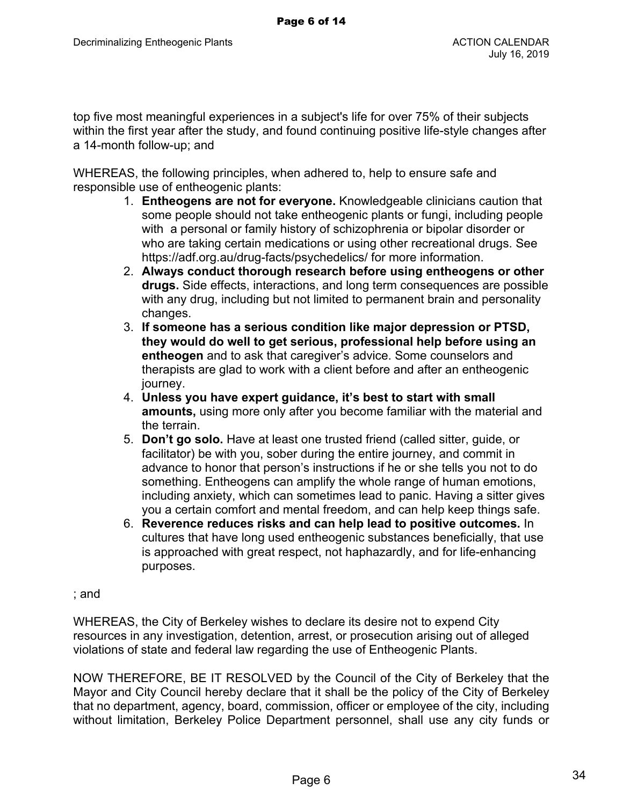top five most meaningful experiences in a subject's life for over 75% of their subjects within the first year after the study, and found continuing positive life-style changes after a 14-month follow-up; and

WHEREAS, the following principles, when adhered to, help to ensure safe and responsible use of entheogenic plants:

- 1. **Entheogens are not for everyone.** Knowledgeable clinicians caution that some people should not take entheogenic plants or fungi, including people with a personal or family history of schizophrenia or bipolar disorder or who are taking certain medications or using other recreational drugs. See https://adf.org.au/drug-facts/psychedelics/ for more information.
- 2. **Always conduct thorough research before using entheogens or other drugs.** Side effects, interactions, and long term consequences are possible with any drug, including but not limited to permanent brain and personality changes.
- 3. **If someone has a serious condition like major depression or PTSD, they would do well to get serious, professional help before using an entheogen** and to ask that caregiver's advice. Some counselors and therapists are glad to work with a client before and after an entheogenic journey.
- 4. **Unless you have expert guidance, it's best to start with small amounts,** using more only after you become familiar with the material and the terrain.
- 5. **Don't go solo.** Have at least one trusted friend (called sitter, guide, or facilitator) be with you, sober during the entire journey, and commit in advance to honor that person's instructions if he or she tells you not to do something. Entheogens can amplify the whole range of human emotions, including anxiety, which can sometimes lead to panic. Having a sitter gives you a certain comfort and mental freedom, and can help keep things safe.
- 6. **Reverence reduces risks and can help lead to positive outcomes.** In cultures that have long used entheogenic substances beneficially, that use is approached with great respect, not haphazardly, and for life-enhancing purposes.

## ; and

WHEREAS, the City of Berkeley wishes to declare its desire not to expend City resources in any investigation, detention, arrest, or prosecution arising out of alleged violations of state and federal law regarding the use of Entheogenic Plants.

NOW THEREFORE, BE IT RESOLVED by the Council of the City of Berkeley that the Mayor and City Council hereby declare that it shall be the policy of the City of Berkeley that no department, agency, board, commission, officer or employee of the city, including without limitation, Berkeley Police Department personnel, shall use any city funds or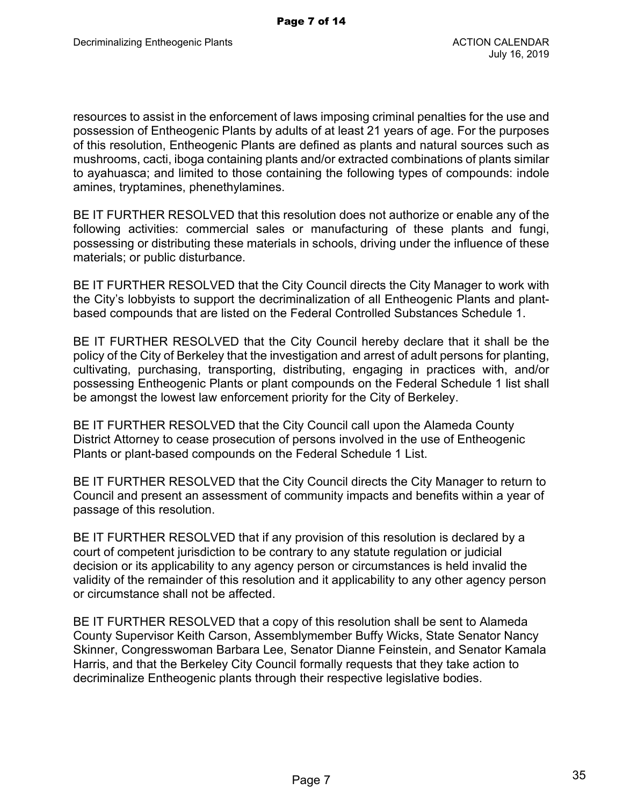resources to assist in the enforcement of laws imposing criminal penalties for the use and possession of Entheogenic Plants by adults of at least 21 years of age. For the purposes of this resolution, Entheogenic Plants are defined as plants and natural sources such as mushrooms, cacti, iboga containing plants and/or extracted combinations of plants similar to ayahuasca; and limited to those containing the following types of compounds: indole amines, tryptamines, phenethylamines.

BE IT FURTHER RESOLVED that this resolution does not authorize or enable any of the following activities: commercial sales or manufacturing of these plants and fungi, possessing or distributing these materials in schools, driving under the influence of these materials; or public disturbance.

BE IT FURTHER RESOLVED that the City Council directs the City Manager to work with the City's lobbyists to support the decriminalization of all Entheogenic Plants and plantbased compounds that are listed on the Federal Controlled Substances Schedule 1.

BE IT FURTHER RESOLVED that the City Council hereby declare that it shall be the policy of the City of Berkeley that the investigation and arrest of adult persons for planting, cultivating, purchasing, transporting, distributing, engaging in practices with, and/or possessing Entheogenic Plants or plant compounds on the Federal Schedule 1 list shall be amongst the lowest law enforcement priority for the City of Berkeley.

BE IT FURTHER RESOLVED that the City Council call upon the Alameda County District Attorney to cease prosecution of persons involved in the use of Entheogenic Plants or plant-based compounds on the Federal Schedule 1 List.

BE IT FURTHER RESOLVED that the City Council directs the City Manager to return to Council and present an assessment of community impacts and benefits within a year of passage of this resolution.

BE IT FURTHER RESOLVED that if any provision of this resolution is declared by a court of competent jurisdiction to be contrary to any statute regulation or judicial decision or its applicability to any agency person or circumstances is held invalid the validity of the remainder of this resolution and it applicability to any other agency person or circumstance shall not be affected.

BE IT FURTHER RESOLVED that a copy of this resolution shall be sent to Alameda County Supervisor Keith Carson, Assemblymember Buffy Wicks, State Senator Nancy Skinner, Congresswoman Barbara Lee, Senator Dianne Feinstein, and Senator Kamala Harris, and that the Berkeley City Council formally requests that they take action to decriminalize Entheogenic plants through their respective legislative bodies.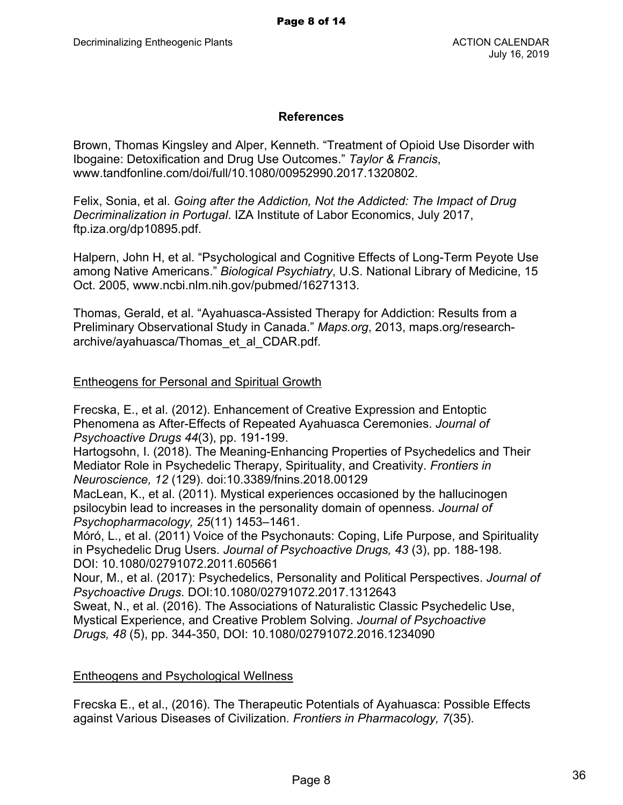## **References**

Brown, Thomas Kingsley and Alper, Kenneth. "Treatment of Opioid Use Disorder with Ibogaine: Detoxification and Drug Use Outcomes." *Taylor & Francis*, www.tandfonline.com/doi/full/10.1080/00952990.2017.1320802.

Felix, Sonia, et al. *Going after the Addiction, Not the Addicted: The Impact of Drug Decriminalization in Portugal*. IZA Institute of Labor Economics, July 2017, ftp.iza.org/dp10895.pdf.

Halpern, John H, et al. "Psychological and Cognitive Effects of Long-Term Peyote Use among Native Americans." *Biological Psychiatry*, U.S. National Library of Medicine, 15 Oct. 2005, www.ncbi.nlm.nih.gov/pubmed/16271313.

Thomas, Gerald, et al. "Ayahuasca-Assisted Therapy for Addiction: Results from a Preliminary Observational Study in Canada." *Maps.org*, 2013, maps.org/researcharchive/ayahuasca/Thomas\_et\_al\_CDAR.pdf.

## Entheogens for Personal and Spiritual Growth

Frecska, E., et al. (2012). Enhancement of Creative Expression and Entoptic Phenomena as After-Effects of Repeated Ayahuasca Ceremonies. *Journal of Psychoactive Drugs 44*(3), pp. 191-199.

Hartogsohn, I. (2018). The Meaning-Enhancing Properties of Psychedelics and Their Mediator Role in Psychedelic Therapy, Spirituality, and Creativity. *Frontiers in Neuroscience, 12* (129). doi:10.3389/fnins.2018.00129

MacLean, K., et al. (2011). Mystical experiences occasioned by the hallucinogen psilocybin lead to increases in the personality domain of openness. *Journal of Psychopharmacology, 25*(11) 1453–1461.

Móró, L., et al. (2011) Voice of the Psychonauts: Coping, Life Purpose, and Spirituality in Psychedelic Drug Users. *Journal of Psychoactive Drugs, 43* (3), pp. 188-198. DOI: 10.1080/02791072.2011.605661

Nour, M., et al. (2017): Psychedelics, Personality and Political Perspectives. *Journal of Psychoactive Drugs*. DOI:10.1080/02791072.2017.1312643

Sweat, N., et al. (2016). The Associations of Naturalistic Classic Psychedelic Use, Mystical Experience, and Creative Problem Solving. *Journal of Psychoactive Drugs, 48* (5), pp. 344-350, DOI: 10.1080/02791072.2016.1234090

## Entheogens and Psychological Wellness

Frecska E., et al., (2016). The Therapeutic Potentials of Ayahuasca: Possible Effects against Various Diseases of Civilization*. Frontiers in Pharmacology, 7*(35).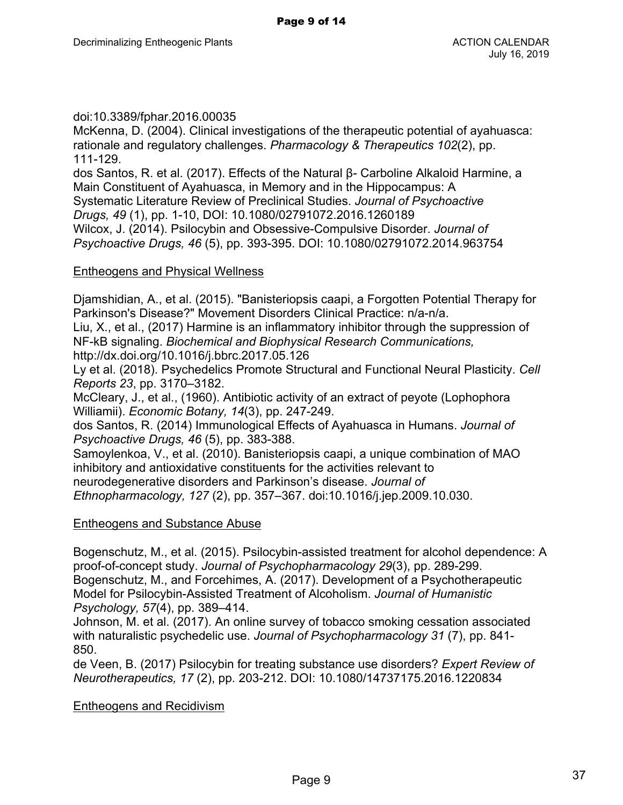doi:10.3389/fphar.2016.00035

McKenna, D. (2004). Clinical investigations of the therapeutic potential of ayahuasca: rationale and regulatory challenges. *Pharmacology & Therapeutics 102*(2), pp. 111-129.

dos Santos, R. et al. (2017). Effects of the Natural β- Carboline Alkaloid Harmine, a Main Constituent of Ayahuasca, in Memory and in the Hippocampus: A Systematic Literature Review of Preclinical Studies. *Journal of Psychoactive Drugs, 49* (1), pp. 1-10, DOI: 10.1080/02791072.2016.1260189 Wilcox, J. (2014). Psilocybin and Obsessive-Compulsive Disorder. *Journal of Psychoactive Drugs, 46* (5), pp. 393-395. DOI: 10.1080/02791072.2014.963754

# Entheogens and Physical Wellness

Djamshidian, A., et al. (2015). "Banisteriopsis caapi, a Forgotten Potential Therapy for Parkinson's Disease?" Movement Disorders Clinical Practice: n/a-n/a.

Liu, X., et al., (2017) Harmine is an inflammatory inhibitor through the suppression of NF-kB signaling. *Biochemical and Biophysical Research Communications,* http://dx.doi.org/10.1016/j.bbrc.2017.05.126

Ly et al. (2018). Psychedelics Promote Structural and Functional Neural Plasticity. *Cell Reports 23*, pp. 3170–3182.

McCleary, J., et al., (1960). Antibiotic activity of an extract of peyote (Lophophora Williamii). *Economic Botany, 14*(3), pp. 247-249.

dos Santos, R. (2014) Immunological Effects of Ayahuasca in Humans. *Journal of Psychoactive Drugs, 46* (5), pp. 383-388.

Samoylenkoa, V., et al. (2010). Banisteriopsis caapi, a unique combination of MAO inhibitory and antioxidative constituents for the activities relevant to neurodegenerative disorders and Parkinson's disease. *Journal of Ethnopharmacology, 127* (2), pp. 357–367. doi:10.1016/j.jep.2009.10.030.

# Entheogens and Substance Abuse

Bogenschutz, M., et al. (2015). Psilocybin-assisted treatment for alcohol dependence: A proof-of-concept study. *Journal of Psychopharmacology 29*(3), pp. 289-299. Bogenschutz, M., and Forcehimes, A. (2017). Development of a Psychotherapeutic Model for Psilocybin-Assisted Treatment of Alcoholism. *Journal of Humanistic Psychology, 57*(4), pp. 389–414.

Johnson, M. et al. (2017). An online survey of tobacco smoking cessation associated with naturalistic psychedelic use. *Journal of Psychopharmacology 31* (7), pp. 841- 850.

de Veen, B. (2017) Psilocybin for treating substance use disorders? *Expert Review of Neurotherapeutics, 17* (2), pp. 203-212. DOI: 10.1080/14737175.2016.1220834

# Entheogens and Recidivism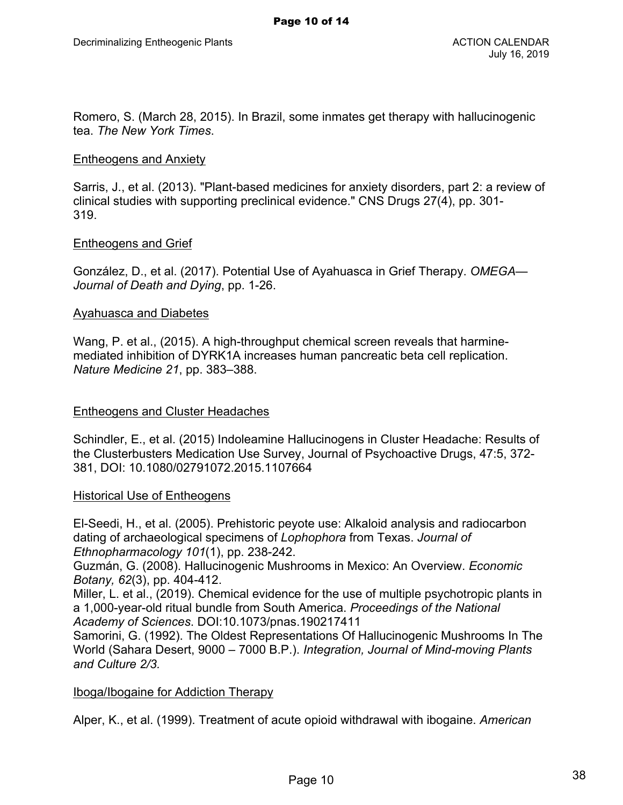Romero, S. (March 28, 2015). In Brazil, some inmates get therapy with hallucinogenic tea. *The New York Times*.

#### Entheogens and Anxiety

Sarris, J., et al. (2013). "Plant-based medicines for anxiety disorders, part 2: a review of clinical studies with supporting preclinical evidence." CNS Drugs 27(4), pp. 301- 319.

#### Entheogens and Grief

González, D., et al. (2017). Potential Use of Ayahuasca in Grief Therapy. *OMEGA— Journal of Death and Dying*, pp. 1-26.

#### Ayahuasca and Diabetes

Wang, P. et al., (2015). A high-throughput chemical screen reveals that harminemediated inhibition of DYRK1A increases human pancreatic beta cell replication. *Nature Medicine 21*, pp. 383–388.

## Entheogens and Cluster Headaches

Schindler, E., et al. (2015) Indoleamine Hallucinogens in Cluster Headache: Results of the Clusterbusters Medication Use Survey, Journal of Psychoactive Drugs, 47:5, 372- 381, DOI: 10.1080/02791072.2015.1107664

## **Historical Use of Entheogens**

El-Seedi, H., et al. (2005). Prehistoric peyote use: Alkaloid analysis and radiocarbon dating of archaeological specimens of *Lophophora* from Texas. *Journal of Ethnopharmacology 101*(1), pp. 238-242.

Guzmán, G. (2008). Hallucinogenic Mushrooms in Mexico: An Overview. *Economic Botany, 62*(3), pp. 404-412.

Miller, L. et al., (2019). Chemical evidence for the use of multiple psychotropic plants in a 1,000-year-old ritual bundle from South America. *Proceedings of the National Academy of Sciences*. DOI:10.1073/pnas.190217411

Samorini, G. (1992). The Oldest Representations Of Hallucinogenic Mushrooms In The World (Sahara Desert, 9000 – 7000 B.P.). *Integration, Journal of Mind-moving Plants and Culture 2/3.*

## Iboga/Ibogaine for Addiction Therapy

Alper, K., et al. (1999). Treatment of acute opioid withdrawal with ibogaine. *American*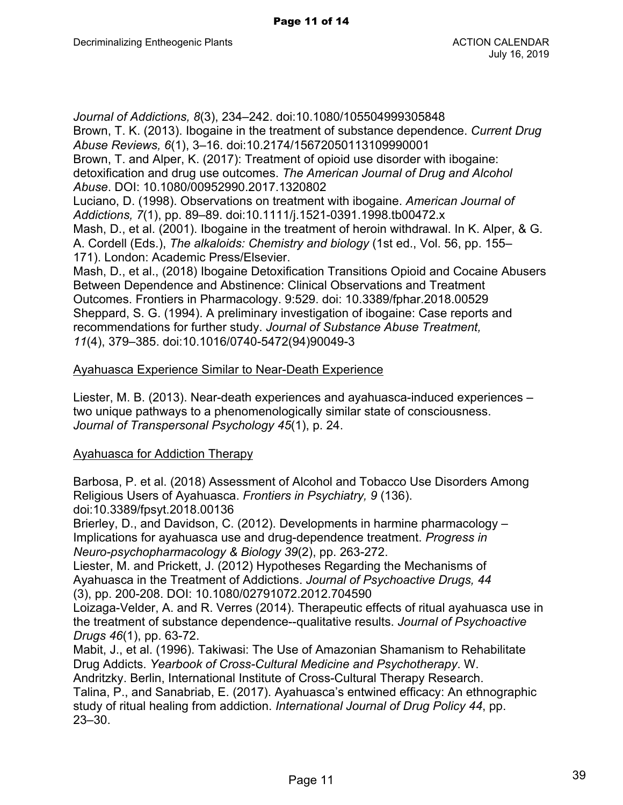*Journal of Addictions, 8*(3), 234–242. doi:10.1080/105504999305848 Brown, T. K. (2013). Ibogaine in the treatment of substance dependence. *Current Drug Abuse Reviews, 6*(1), 3–16. doi:10.2174/15672050113109990001

Brown, T. and Alper, K. (2017): Treatment of opioid use disorder with ibogaine: detoxification and drug use outcomes. *The American Journal of Drug and Alcohol Abuse*. DOI: 10.1080/00952990.2017.1320802

Luciano, D. (1998). Observations on treatment with ibogaine. *American Journal of Addictions, 7*(1), pp. 89–89. doi:10.1111/j.1521-0391.1998.tb00472.x

Mash, D., et al. (2001). Ibogaine in the treatment of heroin withdrawal. In K. Alper, & G. A. Cordell (Eds.), *The alkaloids: Chemistry and biology* (1st ed., Vol. 56, pp. 155– 171). London: Academic Press/Elsevier.

Mash, D., et al., (2018) Ibogaine Detoxification Transitions Opioid and Cocaine Abusers Between Dependence and Abstinence: Clinical Observations and Treatment Outcomes. Frontiers in Pharmacology. 9:529. doi: 10.3389/fphar.2018.00529 Sheppard, S. G. (1994). A preliminary investigation of ibogaine: Case reports and recommendations for further study. *Journal of Substance Abuse Treatment, 11*(4), 379–385. doi:10.1016/0740-5472(94)90049-3

## Ayahuasca Experience Similar to Near-Death Experience

Liester, M. B. (2013). Near-death experiences and ayahuasca-induced experiences – two unique pathways to a phenomenologically similar state of consciousness. *Journal of Transpersonal Psychology 45*(1), p. 24.

## Ayahuasca for Addiction Therapy

Barbosa, P. et al. (2018) Assessment of Alcohol and Tobacco Use Disorders Among Religious Users of Ayahuasca. *Frontiers in Psychiatry, 9* (136). doi:10.3389/fpsyt.2018.00136

Brierley, D., and Davidson, C. (2012). Developments in harmine pharmacology – Implications for ayahuasca use and drug-dependence treatment. *Progress in Neuro-psychopharmacology & Biology 39*(2), pp. 263-272.

Liester, M. and Prickett, J. (2012) Hypotheses Regarding the Mechanisms of Ayahuasca in the Treatment of Addictions. *Journal of Psychoactive Drugs, 44* (3), pp. 200-208. DOI: 10.1080/02791072.2012.704590

Loizaga-Velder, A. and R. Verres (2014). Therapeutic effects of ritual ayahuasca use in the treatment of substance dependence--qualitative results. *Journal of Psychoactive Drugs 46*(1), pp. 63-72.

Mabit, J., et al. (1996). Takiwasi: The Use of Amazonian Shamanism to Rehabilitate Drug Addicts. *Yearbook of Cross-Cultural Medicine and Psychotherapy*. W.

Andritzky. Berlin, International Institute of Cross-Cultural Therapy Research. Talina, P., and Sanabriab, E. (2017). Ayahuasca's entwined efficacy: An ethnographic study of ritual healing from addiction. *International Journal of Drug Policy 44*, pp. 23–30.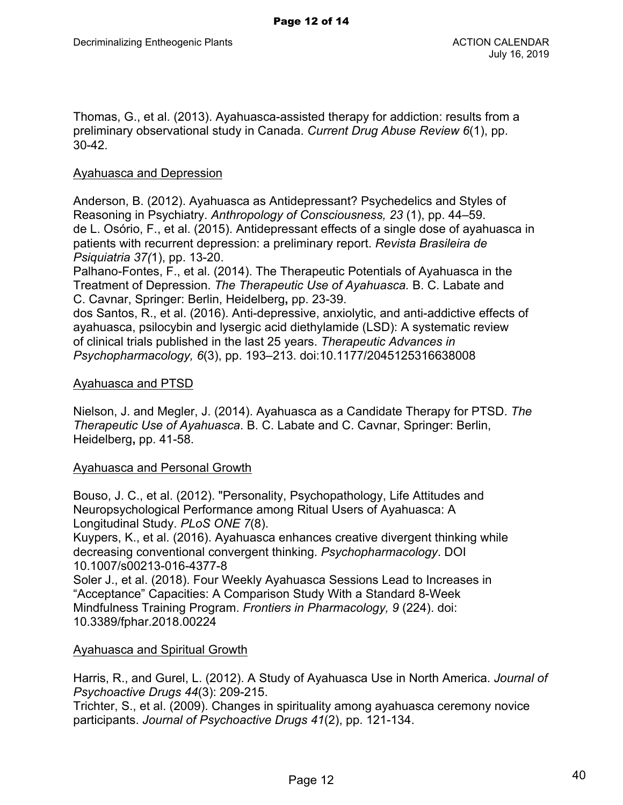Thomas, G., et al. (2013). Ayahuasca-assisted therapy for addiction: results from a preliminary observational study in Canada. *Current Drug Abuse Review 6*(1), pp. 30-42.

#### Ayahuasca and Depression

Anderson, B. (2012). Ayahuasca as Antidepressant? Psychedelics and Styles of Reasoning in Psychiatry. *Anthropology of Consciousness, 23* (1), pp. 44–59. de L. Osório, F., et al. (2015). Antidepressant effects of a single dose of ayahuasca in patients with recurrent depression: a preliminary report. *Revista Brasileira de Psiquiatria 37(*1), pp. 13-20.

Palhano-Fontes, F., et al. (2014). The Therapeutic Potentials of Ayahuasca in the Treatment of Depression. *The Therapeutic Use of Ayahuasca.* B. C. Labate and C. Cavnar, Springer: Berlin, Heidelberg**,** pp. 23-39.

dos Santos, R., et al. (2016). Anti-depressive, anxiolytic, and anti-addictive effects of ayahuasca, psilocybin and lysergic acid diethylamide (LSD): A systematic review of clinical trials published in the last 25 years. *Therapeutic Advances in Psychopharmacology, 6*(3), pp. 193–213. doi:10.1177/2045125316638008

#### Ayahuasca and PTSD

Nielson, J. and Megler, J. (2014). Ayahuasca as a Candidate Therapy for PTSD. *The Therapeutic Use of Ayahuasca*. B. C. Labate and C. Cavnar, Springer: Berlin, Heidelberg**,** pp. 41-58.

## Ayahuasca and Personal Growth

Bouso, J. C., et al. (2012). "Personality, Psychopathology, Life Attitudes and Neuropsychological Performance among Ritual Users of Ayahuasca: A Longitudinal Study. *PLoS ONE 7*(8).

Kuypers, K., et al. (2016). Ayahuasca enhances creative divergent thinking while decreasing conventional convergent thinking. *Psychopharmacology*. DOI 10.1007/s00213-016-4377-8

Soler J., et al. (2018). Four Weekly Ayahuasca Sessions Lead to Increases in "Acceptance" Capacities: A Comparison Study With a Standard 8-Week Mindfulness Training Program. *Frontiers in Pharmacology, 9* (224). doi: 10.3389/fphar.2018.00224

## Ayahuasca and Spiritual Growth

Harris, R., and Gurel, L. (2012). A Study of Ayahuasca Use in North America. *Journal of Psychoactive Drugs 44*(3): 209-215.

Trichter, S., et al. (2009). Changes in spirituality among ayahuasca ceremony novice participants. *Journal of Psychoactive Drugs 41*(2), pp. 121-134.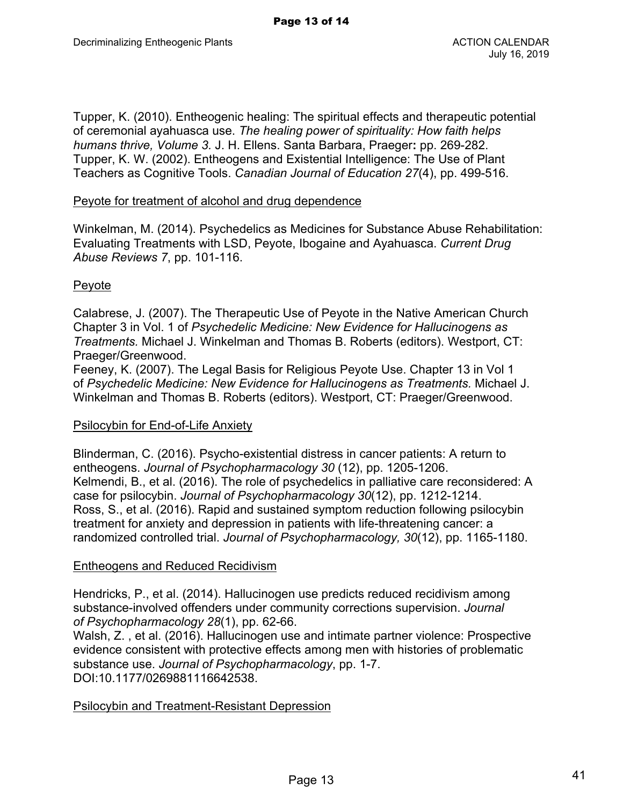Tupper, K. (2010). Entheogenic healing: The spiritual effects and therapeutic potential of ceremonial ayahuasca use. *The healing power of spirituality: How faith helps humans thrive, Volume 3.* J. H. Ellens. Santa Barbara, Praeger**:** pp. 269-282. Tupper, K. W. (2002). Entheogens and Existential Intelligence: The Use of Plant Teachers as Cognitive Tools. *Canadian Journal of Education 27*(4), pp. 499-516.

## Peyote for treatment of alcohol and drug dependence

Winkelman, M. (2014). Psychedelics as Medicines for Substance Abuse Rehabilitation: Evaluating Treatments with LSD, Peyote, Ibogaine and Ayahuasca. *Current Drug Abuse Reviews 7*, pp. 101-116.

## Peyote

Calabrese, J. (2007). The Therapeutic Use of Peyote in the Native American Church Chapter 3 in Vol. 1 of *Psychedelic Medicine: New Evidence for Hallucinogens as Treatments.* Michael J. Winkelman and Thomas B. Roberts (editors). Westport, CT: Praeger/Greenwood.

Feeney, K. (2007). The Legal Basis for Religious Peyote Use. Chapter 13 in Vol 1 of *Psychedelic Medicine: New Evidence for Hallucinogens as Treatments.* Michael J. Winkelman and Thomas B. Roberts (editors). Westport, CT: Praeger/Greenwood.

## Psilocybin for End-of-Life Anxiety

Blinderman, C. (2016). Psycho-existential distress in cancer patients: A return to entheogens. *Journal of Psychopharmacology 30* (12), pp. 1205-1206. Kelmendi, B., et al. (2016). The role of psychedelics in palliative care reconsidered: A case for psilocybin. *Journal of Psychopharmacology 30*(12), pp. 1212-1214. Ross, S., et al. (2016). Rapid and sustained symptom reduction following psilocybin treatment for anxiety and depression in patients with life-threatening cancer: a randomized controlled trial. *Journal of Psychopharmacology, 30*(12), pp. 1165-1180.

# Entheogens and Reduced Recidivism

Hendricks, P., et al. (2014). Hallucinogen use predicts reduced recidivism among substance-involved offenders under community corrections supervision. *Journal of Psychopharmacology 28*(1), pp. 62-66.

Walsh, Z. , et al. (2016). Hallucinogen use and intimate partner violence: Prospective evidence consistent with protective effects among men with histories of problematic substance use. *Journal of Psychopharmacology*, pp. 1-7. DOI:10.1177/0269881116642538.

Psilocybin and Treatment-Resistant Depression